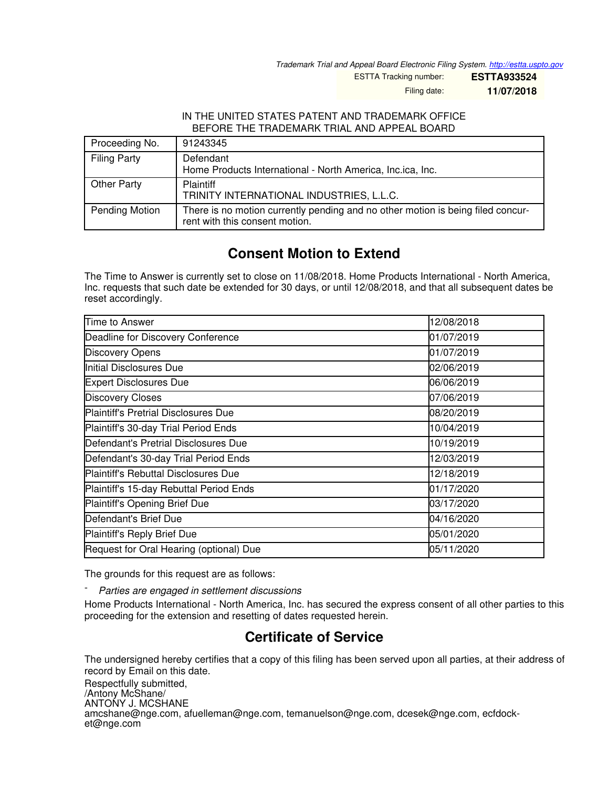*Trademark Trial and Appeal Board Electronic Filing System. <http://estta.uspto.gov>*

ESTTA Tracking number: **ESTTA933524**

Filing date: **11/07/2018**

## IN THE UNITED STATES PATENT AND TRADEMARK OFFICE BEFORE THE TRADEMARK TRIAL AND APPEAL BOARD

| Proceeding No.        | 91243345                                                                                                          |
|-----------------------|-------------------------------------------------------------------------------------------------------------------|
| <b>Filing Party</b>   | Defendant<br>Home Products International - North America, Inc.ica, Inc.                                           |
| Other Party           | Plaintiff<br>TRINITY INTERNATIONAL INDUSTRIES, L.L.C.                                                             |
| <b>Pending Motion</b> | There is no motion currently pending and no other motion is being filed concur-<br>rent with this consent motion. |

## **Consent Motion to Extend**

The Time to Answer is currently set to close on 11/08/2018. Home Products International - North America, Inc. requests that such date be extended for 30 days, or until 12/08/2018, and that all subsequent dates be reset accordingly.

| Time to Answer                              | 12/08/2018 |
|---------------------------------------------|------------|
| Deadline for Discovery Conference           | 01/07/2019 |
| <b>Discovery Opens</b>                      | 01/07/2019 |
| Initial Disclosures Due                     | 02/06/2019 |
| <b>Expert Disclosures Due</b>               | 06/06/2019 |
| <b>Discovery Closes</b>                     | 07/06/2019 |
| <b>Plaintiff's Pretrial Disclosures Due</b> | 08/20/2019 |
| Plaintiff's 30-day Trial Period Ends        | 10/04/2019 |
| Defendant's Pretrial Disclosures Due        | 10/19/2019 |
| Defendant's 30-day Trial Period Ends        | 12/03/2019 |
| <b>Plaintiff's Rebuttal Disclosures Due</b> | 12/18/2019 |
| Plaintiff's 15-day Rebuttal Period Ends     | 01/17/2020 |
| Plaintiff's Opening Brief Due               | 03/17/2020 |
| Defendant's Brief Due                       | 04/16/2020 |
| Plaintiff's Reply Brief Due                 | 05/01/2020 |
| Request for Oral Hearing (optional) Due     | 05/11/2020 |

The grounds for this request are as follows:

- *Parties are engaged in settlement discussions*

Home Products International - North America, Inc. has secured the express consent of all other parties to this proceeding for the extension and resetting of dates requested herein.

## **Certificate of Service**

The undersigned hereby certifies that a copy of this filing has been served upon all parties, at their address of record by Email on this date.

Respectfully submitted, /Antony McShane/ ANTONY J. MCSHANE amcshane@nge.com, afuelleman@nge.com, temanuelson@nge.com, dcesek@nge.com, ecfdocket@nge.com